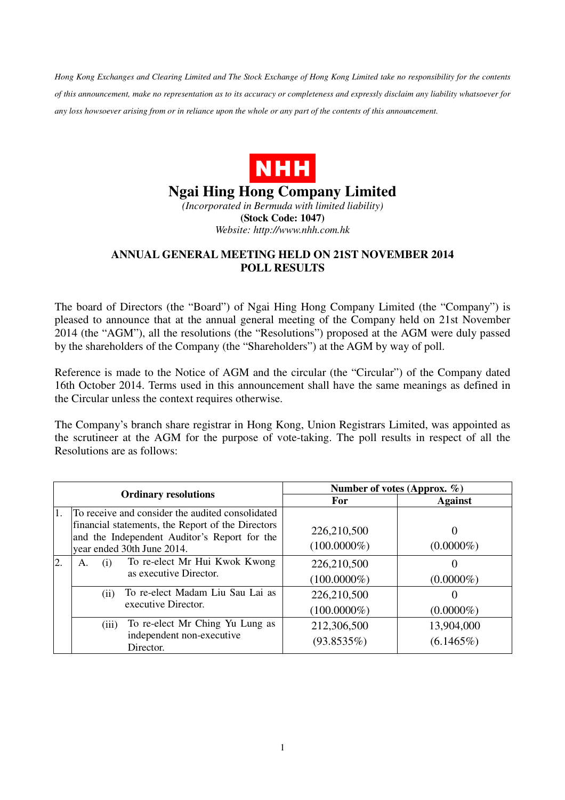*Hong Kong Exchanges and Clearing Limited and The Stock Exchange of Hong Kong Limited take no responsibility for the contents of this announcement, make no representation as to its accuracy or completeness and expressly disclaim any liability whatsoever for any loss howsoever arising from or in reliance upon the whole or any part of the contents of this announcement.* 



**Ngai Hing Hong Company Limited** 

*(Incorporated in Bermuda with limited liability)*  **(Stock Code: 1047)**  *Website: http://www.nhh.com.hk* 

## **ANNUAL GENERAL MEETING HELD ON 21ST NOVEMBER 2014 POLL RESULTS**

The board of Directors (the "Board") of Ngai Hing Hong Company Limited (the "Company") is pleased to announce that at the annual general meeting of the Company held on 21st November 2014 (the "AGM"), all the resolutions (the "Resolutions") proposed at the AGM were duly passed by the shareholders of the Company (the "Shareholders") at the AGM by way of poll.

Reference is made to the Notice of AGM and the circular (the "Circular") of the Company dated 16th October 2014. Terms used in this announcement shall have the same meanings as defined in the Circular unless the context requires otherwise.

The Company's branch share registrar in Hong Kong, Union Registrars Limited, was appointed as the scrutineer at the AGM for the purpose of vote-taking. The poll results in respect of all the Resolutions are as follows:

| <b>Ordinary resolutions</b> |                                                                                                                                                                                     | Number of votes (Approx. $\%$ ) |                            |
|-----------------------------|-------------------------------------------------------------------------------------------------------------------------------------------------------------------------------------|---------------------------------|----------------------------|
|                             |                                                                                                                                                                                     | For                             | <b>Against</b>             |
| 1.                          | To receive and consider the audited consolidated<br>financial statements, the Report of the Directors<br>and the Independent Auditor's Report for the<br>year ended 30th June 2014. | 226,210,500<br>$(100.0000\%)$   | $(0.0000\%)$               |
| $\overline{2}$ .            | To re-elect Mr Hui Kwok Kwong<br>(i)<br>А.<br>as executive Director.                                                                                                                | 226,210,500<br>$(100.0000\%)$   | $(0.0000\%)$               |
|                             | To re-elect Madam Liu Sau Lai as<br>(i)<br>executive Director.                                                                                                                      | 226,210,500<br>$(100.0000\%)$   | $(0.0000\%)$               |
|                             | To re-elect Mr Ching Yu Lung as<br>(iii)<br>independent non-executive<br>Director.                                                                                                  | 212,306,500<br>(93.8535%)       | 13,904,000<br>$(6.1465\%)$ |